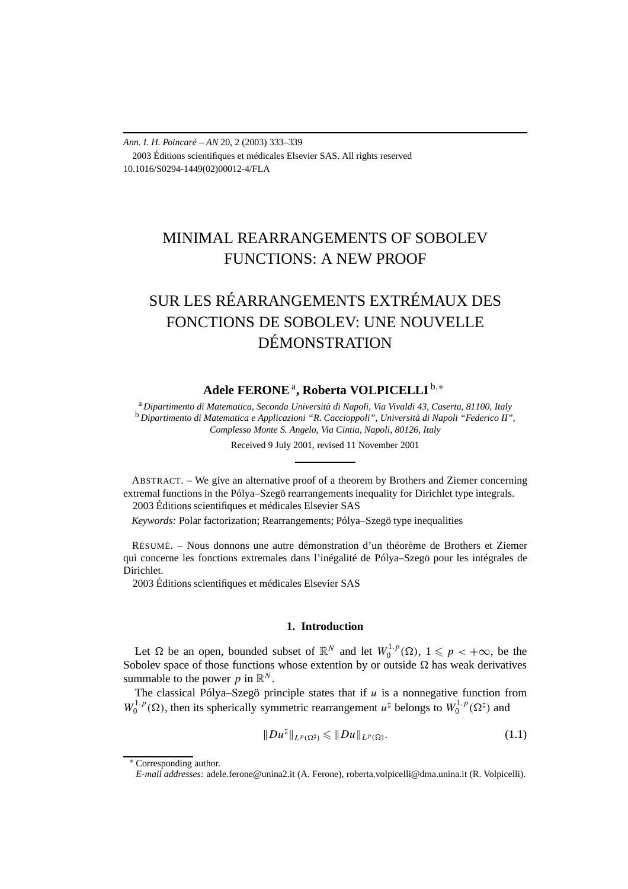*Ann. I. H. Poincaré – AN* 20, 2 (2003) 333–339 2003 Éditions scientifiques et médicales Elsevier SAS. All rights reserved 10.1016/S0294-1449(02)00012-4/FLA

# MINIMAL REARRANGEMENTS OF SOBOLEV FUNCTIONS: A NEW PROOF

# SUR LES RÉARRANGEMENTS EXTRÉMAUX DES FONCTIONS DE SOBOLEV: UNE NOUVELLE DÉMONSTRATION

## **Adele FERONE**<sup>a</sup> **, Roberta VOLPICELLI** <sup>b</sup>*,*<sup>∗</sup>

<sup>a</sup> *Dipartimento di Matematica, Seconda Università di Napoli, Via Vivaldi 43, Caserta, 81100, Italy* <sup>b</sup> *Dipartimento di Matematica e Applicazioni "R. Caccioppoli", Università di Napoli "Federico II", Complesso Monte S. Angelo, Via Cintia, Napoli, 80126, Italy*

Received 9 July 2001, revised 11 November 2001

ABSTRACT. – We give an alternative proof of a theorem by Brothers and Ziemer concerning extremal functions in the Pólya–Szegö rearrangements inequality for Dirichlet type integrals. 2003 Éditions scientifiques et médicales Elsevier SAS

*Keywords:* Polar factorization; Rearrangements; Pólya–Szegö type inequalities

RÉSUMÉ. – Nous donnons une autre démonstration d'un théorème de Brothers et Ziemer qui concerne les fonctions extremales dans l'inégalité de Pólya–Szegö pour les intégrales de **Dirichlet** 

2003 Éditions scientifiques et médicales Elsevier SAS

### **1. Introduction**

Let  $\Omega$  be an open, bounded subset of  $\mathbb{R}^N$  and let  $W_0^{1,p}(\Omega)$ ,  $1 \leq p < +\infty$ , be the Sobolev space of those functions whose extention by or outside  $\Omega$  has weak derivatives summable to the power  $p$  in  $\mathbb{R}^N$ .

The classical Pólya–Szegö principle states that if  $u$  is a nonnegative function from  $W_0^{1,p}(\Omega)$ , then its spherically symmetric rearrangement  $u^{\sharp}$  belongs to  $W_0^{1,p}(\Omega^{\sharp})$  and

$$
||Du^{\sharp}||_{L^{p}(\Omega^{\sharp})}\leq ||Du||_{L^{p}(\Omega)}.
$$
\n(1.1)

<sup>∗</sup> Corresponding author.

*E-mail addresses:* adele.ferone@unina2.it (A. Ferone), roberta.volpicelli@dma.unina.it (R. Volpicelli).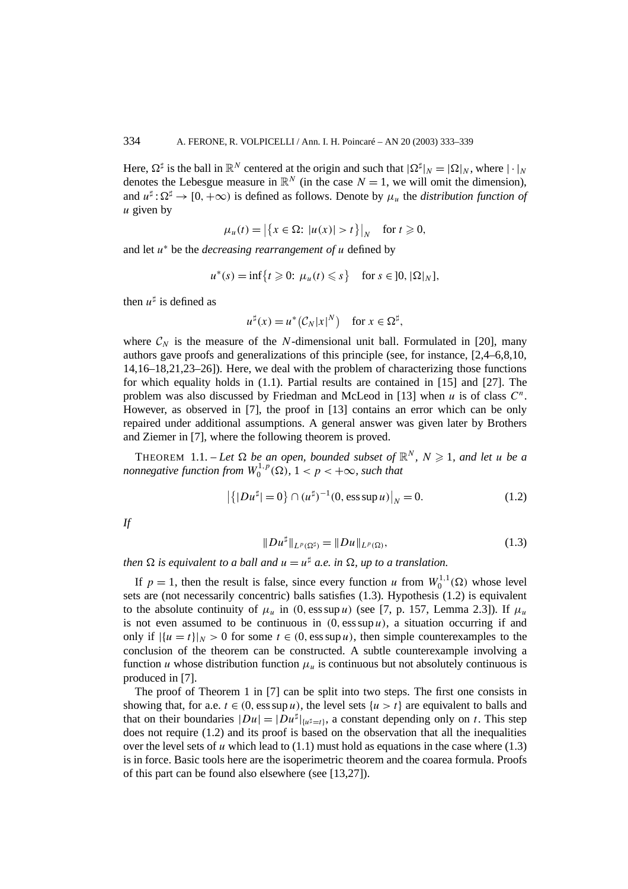Here,  $\Omega^{\sharp}$  is the ball in  $\mathbb{R}^{N}$  centered at the origin and such that  $|\Omega^{\sharp}|_{N} = |\Omega|_{N}$ , where  $|\cdot|_{N}$ denotes the Lebesgue measure in  $\mathbb{R}^N$  (in the case  $N = 1$ , we will omit the dimension), and  $u^{\sharp}$ :  $\Omega^{\sharp} \to [0, +\infty)$  is defined as follows. Denote by  $\mu_u$  the *distribution function of u* given by

$$
\mu_u(t) = \left| \left\{ x \in \Omega : |u(x)| > t \right\} \right|_N \quad \text{for } t \geq 0,
$$

and let *u*<sup>∗</sup> be the *decreasing rearrangement of u* defined by

$$
u^*(s) = \inf\{t \geq 0: \mu_u(t) \leq s\} \quad \text{for } s \in ]0, |\Omega|_N],
$$

then  $u^{\sharp}$  is defined as

$$
u^{\sharp}(x) = u^*(C_N|x|^N) \quad \text{for } x \in \Omega^{\sharp},
$$

where  $C_N$  is the measure of the *N*-dimensional unit ball. Formulated in [20], many authors gave proofs and generalizations of this principle (see, for instance, [2,4–6,8,10, 14,16–18,21,23–26]). Here, we deal with the problem of characterizing those functions for which equality holds in (1.1). Partial results are contained in [15] and [27]. The problem was also discussed by Friedman and McLeod in [13] when *u* is of class *C<sup>n</sup>*. However, as observed in [7], the proof in [13] contains an error which can be only repaired under additional assumptions. A general answer was given later by Brothers and Ziemer in [7], where the following theorem is proved.

**THEOREM** 1.1. – Let  $\Omega$  be an open, bounded subset of  $\mathbb{R}^N$ ,  $N \geq 1$ , and let u be a *nonnegative function from*  $W_0^{1,p}(\Omega)$ ,  $1 < p < +\infty$ *, such that* 

$$
|\{|Du^{\sharp}| = 0\} \cap (u^{\sharp})^{-1}(0, \text{ess sup } u)|_N = 0.
$$
 (1.2)

*If*

$$
||Du^{\sharp}||_{L^{p}(\Omega^{\sharp})} = ||Du||_{L^{p}(\Omega)}, \tag{1.3}
$$

*then*  $\Omega$  *is equivalent to a ball and*  $u = u^{\sharp}$  *a.e. in*  $\Omega$ *, up to a translation.* 

If  $p = 1$ , then the result is false, since every function *u* from  $W_0^{1,1}(\Omega)$  whose level sets are (not necessarily concentric) balls satisfies (1.3). Hypothesis (1.2) is equivalent to the absolute continuity of  $\mu_u$  in (0, ess sup *u*) (see [7, p. 157, Lemma 2.3]). If  $\mu_u$ is not even assumed to be continuous in  $(0, \text{ess sup } u)$ , a situation occurring if and only if  $|\{u = t\}|_N > 0$  for some  $t \in (0, \text{ess sup } u)$ , then simple counterexamples to the conclusion of the theorem can be constructed. A subtle counterexample involving a function *u* whose distribution function  $\mu_u$  is continuous but not absolutely continuous is produced in [7].

The proof of Theorem 1 in [7] can be split into two steps. The first one consists in showing that, for a.e.  $t \in (0, \text{ess sup } u)$ , the level sets  $\{u > t\}$  are equivalent to balls and that on their boundaries  $|Du| = |Du^{\dagger}|_{\{u^{\dagger} = t\}}$ , a constant depending only on *t*. This step does not require (1.2) and its proof is based on the observation that all the inequalities over the level sets of  $u$  which lead to  $(1.1)$  must hold as equations in the case where  $(1.3)$ is in force. Basic tools here are the isoperimetric theorem and the coarea formula. Proofs of this part can be found also elsewhere (see [13,27]).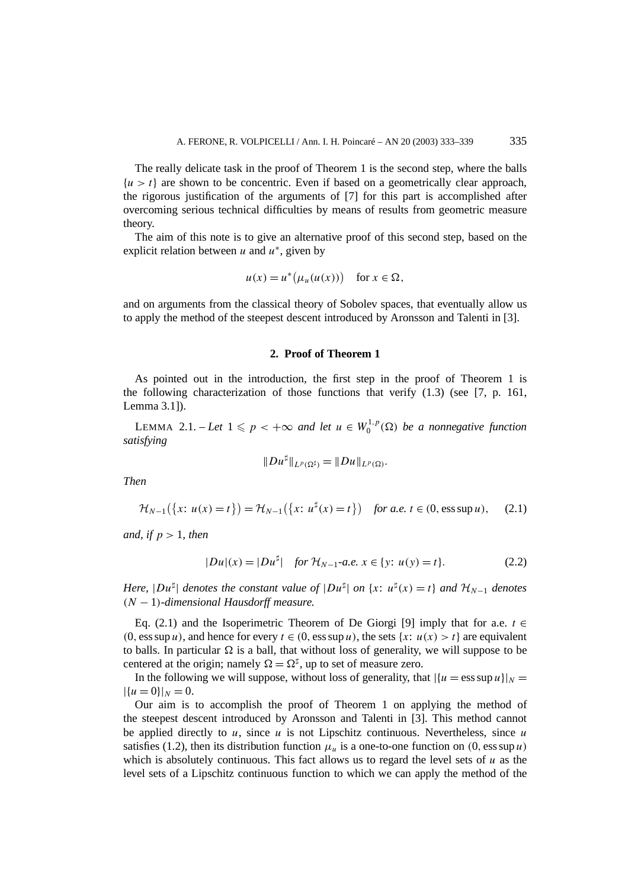The really delicate task in the proof of Theorem 1 is the second step, where the balls  ${u>t}$  are shown to be concentric. Even if based on a geometrically clear approach, the rigorous justification of the arguments of [7] for this part is accomplished after overcoming serious technical difficulties by means of results from geometric measure theory.

The aim of this note is to give an alternative proof of this second step, based on the explicit relation between *u* and *u*<sup>∗</sup>, given by

$$
u(x) = u^*\big(\mu_u(u(x))\big) \quad \text{for } x \in \Omega,
$$

and on arguments from the classical theory of Sobolev spaces, that eventually allow us to apply the method of the steepest descent introduced by Aronsson and Talenti in [3].

### **2. Proof of Theorem 1**

As pointed out in the introduction, the first step in the proof of Theorem 1 is the following characterization of those functions that verify (1.3) (see [7, p. 161, Lemma 3.1]).

LEMMA 2.1. – Let  $1 \leqslant p < +\infty$  and let  $u \in W_0^{1,p}(\Omega)$  be a nonnegative function *satisfying*

$$
||Du^{\sharp}||_{L^p(\Omega^{\sharp})}=||Du||_{L^p(\Omega)}.
$$

*Then*

$$
\mathcal{H}_{N-1}(\{x: u(x) = t\}) = \mathcal{H}_{N-1}(\{x: u^{\sharp}(x) = t\}) \quad \text{for a.e. } t \in (0, \text{ess sup } u), \quad (2.1)
$$

*and, if p >* 1*, then*

$$
|Du|(x) = |Du^{\sharp}| \quad \text{for } \mathcal{H}_{N-1} \text{-a.e. } x \in \{y: u(y) = t\}. \tag{2.2}
$$

*Here,*  $|Du^{\sharp}|$  *denotes the constant value of*  $|Du^{\sharp}|$  *on*  $\{x: u^{\sharp}(x) = t\}$  *and*  $\mathcal{H}_{N-1}$  *denotes (N* − 1*)-dimensional Hausdorff measure.*

Eq. (2.1) and the Isoperimetric Theorem of De Giorgi [9] imply that for a.e.  $t \in$  $(0, \text{ess sup } u)$ , and hence for every  $t \in (0, \text{ess sup } u)$ , the sets  $\{x : u(x) > t\}$  are equivalent to balls. In particular  $\Omega$  is a ball, that without loss of generality, we will suppose to be centered at the origin; namely  $\Omega = \Omega^{\sharp}$ , up to set of measure zero.

In the following we will suppose, without loss of generality, that  $|\{u = \text{ess sup } u\}|_N =$  $|\{u=0\}|_N=0.$ 

Our aim is to accomplish the proof of Theorem 1 on applying the method of the steepest descent introduced by Aronsson and Talenti in [3]. This method cannot be applied directly to  $u$ , since  $u$  is not Lipschitz continuous. Nevertheless, since  $u$ satisfies (1.2), then its distribution function  $\mu_u$  is a one-to-one function on (0, ess sup *u*) which is absolutely continuous. This fact allows us to regard the level sets of *u* as the level sets of a Lipschitz continuous function to which we can apply the method of the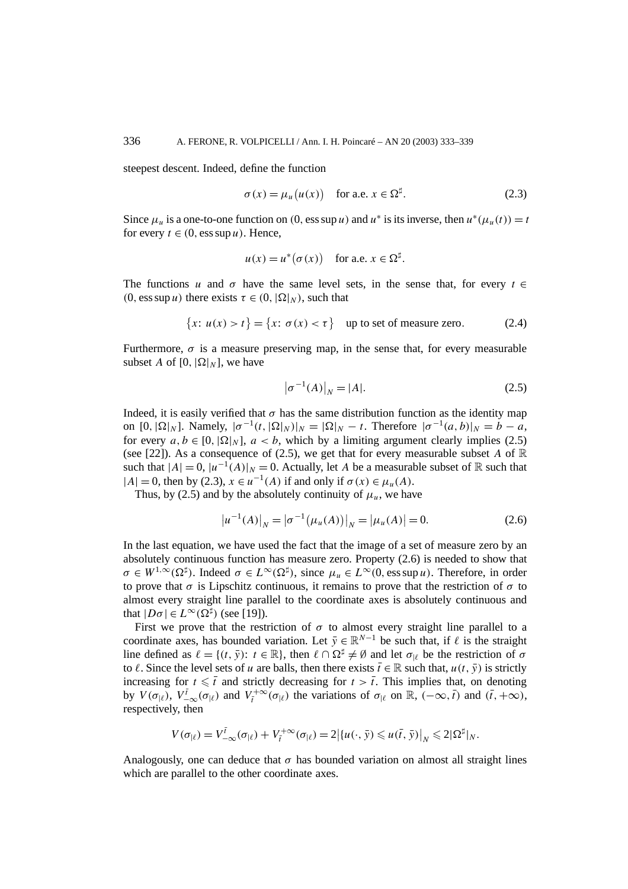steepest descent. Indeed, define the function

$$
\sigma(x) = \mu_u(u(x)) \quad \text{for a.e. } x \in \Omega^{\sharp}.
$$
 (2.3)

Since  $\mu_u$  is a one-to-one function on (0, ess sup *u*) and  $u^*$  is its inverse, then  $u^*(\mu_u(t)) = t$ for every  $t \in (0, \text{ess sup } u)$ . Hence,

$$
u(x) = u^*(\sigma(x)) \quad \text{for a.e. } x \in \Omega^{\sharp}.
$$

The functions *u* and  $\sigma$  have the same level sets, in the sense that, for every  $t \in$  $(0, \text{ess sup } u)$  there exists  $\tau \in (0, |\Omega|_N)$ , such that

$$
\{x: u(x) > t\} = \{x: \sigma(x) < \tau\}
$$
 up to set of measure zero. (2.4)

Furthermore,  $\sigma$  is a measure preserving map, in the sense that, for every measurable subset *A* of [0,  $|\Omega|_N$ ], we have

$$
|\sigma^{-1}(A)|_N = |A|. \tag{2.5}
$$

Indeed, it is easily verified that  $\sigma$  has the same distribution function as the identity map on  $[0, |\Omega|_N]$ . Namely,  $|\sigma^{-1}(t, |\Omega|_N)|_N = |\Omega|_N - t$ . Therefore  $|\sigma^{-1}(a, b)|_N = b - a$ , for every  $a, b \in [0, |\Omega|_N]$ ,  $a < b$ , which by a limiting argument clearly implies (2.5) (see [22]). As a consequence of (2.5), we get that for every measurable subset A of  $\mathbb R$ such that  $|A| = 0$ ,  $|u^{-1}(A)|_N = 0$ . Actually, let A be a measurable subset of R such that  $|A| = 0$ , then by (2.3),  $x \in u^{-1}(A)$  if and only if  $\sigma(x) \in \mu_u(A)$ .

Thus, by (2.5) and by the absolutely continuity of  $\mu_u$ , we have

$$
|u^{-1}(A)|_N = |\sigma^{-1}(\mu_u(A))|_N = |\mu_u(A)| = 0.
$$
 (2.6)

In the last equation, we have used the fact that the image of a set of measure zero by an absolutely continuous function has measure zero. Property (2.6) is needed to show that  $\sigma \in W^{1,\infty}(\Omega^{\sharp})$ . Indeed  $\sigma \in L^{\infty}(\Omega^{\sharp})$ , since  $\mu_{u} \in L^{\infty}(0, \text{ess sup } u)$ . Therefore, in order to prove that  $\sigma$  is Lipschitz continuous, it remains to prove that the restriction of  $\sigma$  to almost every straight line parallel to the coordinate axes is absolutely continuous and that  $|D\sigma| \in L^{\infty}(\Omega^{\sharp})$  (see [19]).

First we prove that the restriction of  $\sigma$  to almost every straight line parallel to a coordinate axes, has bounded variation. Let  $\bar{y} \in \mathbb{R}^{N-1}$  be such that, if  $\ell$  is the straight line defined as  $\ell = \{(t, \bar{y}) : t \in \mathbb{R}\}\)$ , then  $\ell \cap \Omega^{\sharp} \neq \emptyset$  and let  $\sigma_{|\ell}$  be the restriction of  $\sigma$ to  $\ell$ . Since the level sets of *u* are balls, then there exists  $\bar{t} \in \mathbb{R}$  such that,  $u(t, \bar{y})$  is strictly increasing for  $t \leq \bar{t}$  and strictly decreasing for  $t > \bar{t}$ . This implies that, on denoting by  $V(\sigma_{|\ell})$ ,  $V^{\bar{t}}_{-\infty}(\sigma_{|\ell})$  and  $V^{\pm \infty}_{\bar{t}}(\sigma_{|\ell})$  the variations of  $\sigma_{|\ell}$  on  $\mathbb{R}$ ,  $(-\infty, \bar{t})$  and  $(\bar{t}, +\infty)$ , respectively, then

$$
V(\sigma_{|\ell})=V_{-\infty}^{\bar{t}}(\sigma_{|\ell})+V_{\bar{t}}^{+\infty}(\sigma_{|\ell})=2\big|\{u(\cdot,\bar{y})\leqslant u(\bar{t},\bar{y})\big|_N\leqslant 2|\Omega^{\sharp}|_N.
$$

Analogously, one can deduce that  $\sigma$  has bounded variation on almost all straight lines which are parallel to the other coordinate axes.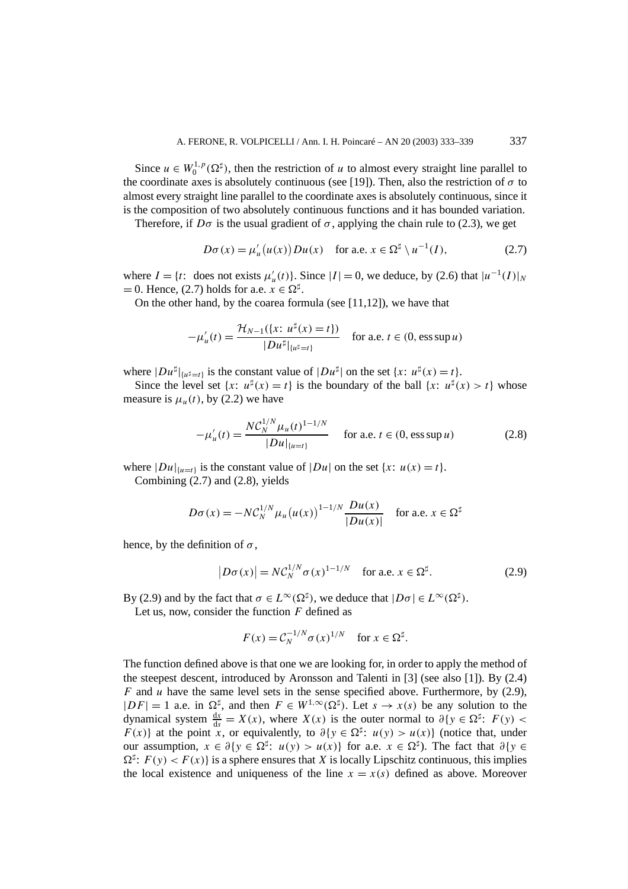Since  $u \in W_0^{1,p}(\Omega^{\sharp})$ , then the restriction of *u* to almost every straight line parallel to the coordinate axes is absolutely continuous (see [19]). Then, also the restriction of  $\sigma$  to almost every straight line parallel to the coordinate axes is absolutely continuous, since it is the composition of two absolutely continuous functions and it has bounded variation.

Therefore, if  $D\sigma$  is the usual gradient of  $\sigma$ , applying the chain rule to (2.3), we get

$$
D\sigma(x) = \mu'_u(u(x))Du(x) \quad \text{for a.e. } x \in \Omega^{\sharp} \setminus u^{-1}(I), \tag{2.7}
$$

where  $I = \{t: \text{ does not exists } \mu'_u(t)\}$ . Since  $|I| = 0$ , we deduce, by (2.6) that  $|u^{-1}(I)|_N$  $= 0$ . Hence, (2.7) holds for a.e.  $x \in \Omega^{\sharp}$ .

On the other hand, by the coarea formula (see [11,12]), we have that

$$
-\mu'_u(t) = \frac{\mathcal{H}_{N-1}(\{x: u^{\sharp}(x) = t\})}{|Du^{\sharp}|_{\{u^{\sharp} = t\}}}
$$
 for a.e.  $t \in (0, \text{ess sup } u)$ 

where  $|Du^{\sharp}|_{\{u^{\sharp} = t\}}$  is the constant value of  $|Du^{\sharp}|$  on the set  $\{x: u^{\sharp}(x) = t\}.$ 

Since the level set  $\{x: u^{\sharp}(x) = t\}$  is the boundary of the ball  $\{x: u^{\sharp}(x) > t\}$  whose measure is  $\mu_u(t)$ , by (2.2) we have

$$
-\mu'_u(t) = \frac{N \mathcal{C}_N^{1/N} \mu_u(t)^{1-1/N}}{|Du|_{\{u=t\}}}
$$
 for a.e.  $t \in (0, \text{ess sup } u)$  (2.8)

where  $|Du|_{\{u=t\}}$  is the constant value of  $|Du|$  on the set  $\{x: u(x) = t\}.$ 

Combining (2.7) and (2.8), yields

$$
D\sigma(x) = -NC_N^{1/N} \mu_u(u(x))^{1-1/N} \frac{Du(x)}{|Du(x)|} \text{ for a.e. } x \in \Omega^{\sharp}
$$

hence, by the definition of  $\sigma$ ,

$$
|D\sigma(x)| = NC_N^{1/N} \sigma(x)^{1-1/N} \quad \text{for a.e. } x \in \Omega^{\sharp}.
$$
 (2.9)

By (2.9) and by the fact that  $\sigma \in L^{\infty}(\Omega^{\sharp})$ , we deduce that  $|D\sigma| \in L^{\infty}(\Omega^{\sharp})$ .

Let us, now, consider the function *F* defined as

$$
F(x) = C_N^{-1/N} \sigma(x)^{1/N} \quad \text{for } x \in \Omega^{\sharp}.
$$

The function defined above is that one we are looking for, in order to apply the method of the steepest descent, introduced by Aronsson and Talenti in  $[3]$  (see also  $[1]$ ). By (2.4) *F* and *u* have the same level sets in the sense specified above. Furthermore, by (2.9),  $|DF| = 1$  a.e. in  $\Omega^{\sharp}$ , and then  $F \in W^{1,\infty}(\Omega^{\sharp})$ . Let  $s \to x(s)$  be any solution to the dynamical system  $\frac{dx}{ds} = X(x)$ , where  $X(x)$  is the outer normal to  $\partial \{y \in \Omega^{\sharp}: F(y)$ *F(x)*} at the point *x*, or equivalently, to  $\partial \{y \in \Omega^{\sharp}: u(y) > u(x)\}$  (notice that, under our assumption,  $x \in \partial \{y \in \Omega^{\sharp}: u(y) > u(x)\}$  for a.e.  $x \in \Omega^{\sharp}$ ). The fact that  $\partial \{y \in \Omega^{\sharp} : u(y) > u(x)\}$  $\Omega^{\sharp}$ :  $F(y) < F(x)$ } is a sphere ensures that *X* is locally Lipschitz continuous, this implies the local existence and uniqueness of the line  $x = x(s)$  defined as above. Moreover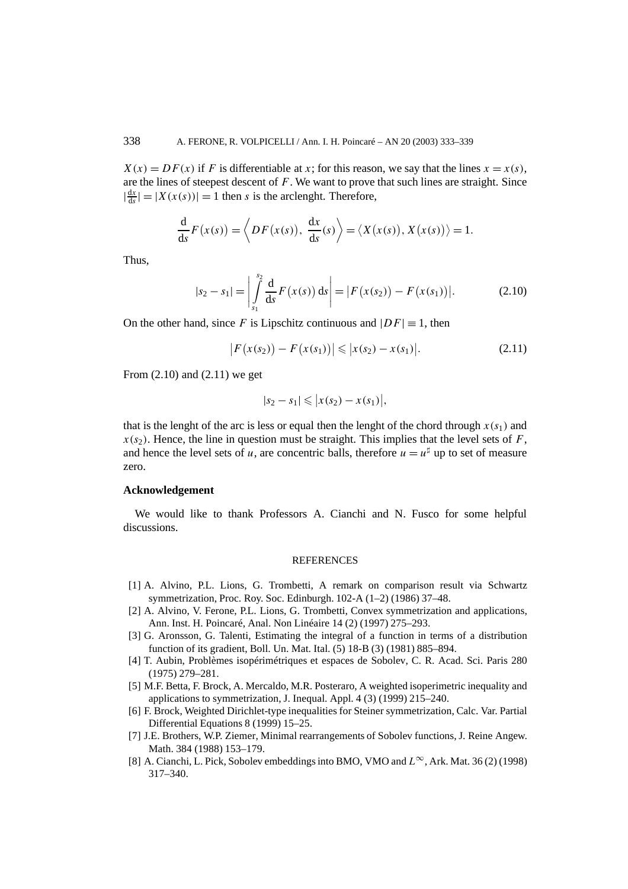$X(x) = DF(x)$  if *F* is differentiable at *x*; for this reason, we say that the lines  $x = x(s)$ , are the lines of steepest descent of *F*. We want to prove that such lines are straight. Since  $\left|\frac{dx}{ds}\right| = |X(x(s))| = 1$  then *s* is the arclenght. Therefore,

$$
\frac{\mathrm{d}}{\mathrm{d}s}F(x(s)) = \left\langle DF(x(s)), \frac{\mathrm{d}x}{\mathrm{d}s}(s) \right\rangle = \left\langle X(x(s)), X(x(s)) \right\rangle = 1.
$$

Thus,

$$
|s_2 - s_1| = \left| \int_{s_1}^{s_2} \frac{d}{ds} F(x(s)) ds \right| = |F(x(s_2)) - F(x(s_1))|.
$$
 (2.10)

On the other hand, since *F* is Lipschitz continuous and  $|DF| \equiv 1$ , then

$$
|F(x(s_2)) - F(x(s_1))| \le |x(s_2) - x(s_1)|. \tag{2.11}
$$

From  $(2.10)$  and  $(2.11)$  we get

$$
|s_2 - s_1| \leq |x(s_2) - x(s_1)|,
$$

that is the lenght of the arc is less or equal then the lenght of the chord through  $x(s_1)$  and  $x(s<sub>2</sub>)$ . Hence, the line in question must be straight. This implies that the level sets of *F*, and hence the level sets of *u*, are concentric balls, therefore  $u = u^{\sharp}$  up to set of measure zero.

#### **Acknowledgement**

We would like to thank Professors A. Cianchi and N. Fusco for some helpful discussions.

#### **REFERENCES**

- [1] A. Alvino, P.L. Lions, G. Trombetti, A remark on comparison result via Schwartz symmetrization, Proc. Roy. Soc. Edinburgh. 102-A (1–2) (1986) 37–48.
- [2] A. Alvino, V. Ferone, P.L. Lions, G. Trombetti, Convex symmetrization and applications, Ann. Inst. H. Poincaré, Anal. Non Linéaire 14 (2) (1997) 275–293.
- [3] G. Aronsson, G. Talenti, Estimating the integral of a function in terms of a distribution function of its gradient, Boll. Un. Mat. Ital. (5) 18-B (3) (1981) 885–894.
- [4] T. Aubin, Problèmes isopérimétriques et espaces de Sobolev, C. R. Acad. Sci. Paris 280 (1975) 279–281.
- [5] M.F. Betta, F. Brock, A. Mercaldo, M.R. Posteraro, A weighted isoperimetric inequality and applications to symmetrization, J. Inequal. Appl. 4 (3) (1999) 215–240.
- [6] F. Brock, Weighted Dirichlet-type inequalities for Steiner symmetrization, Calc. Var. Partial Differential Equations 8 (1999) 15–25.
- [7] J.E. Brothers, W.P. Ziemer, Minimal rearrangements of Sobolev functions, J. Reine Angew. Math. 384 (1988) 153–179.
- [8] A. Cianchi, L. Pick, Sobolev embeddings into BMO, VMO and *L*∞, Ark. Mat. 36 (2) (1998) 317–340.